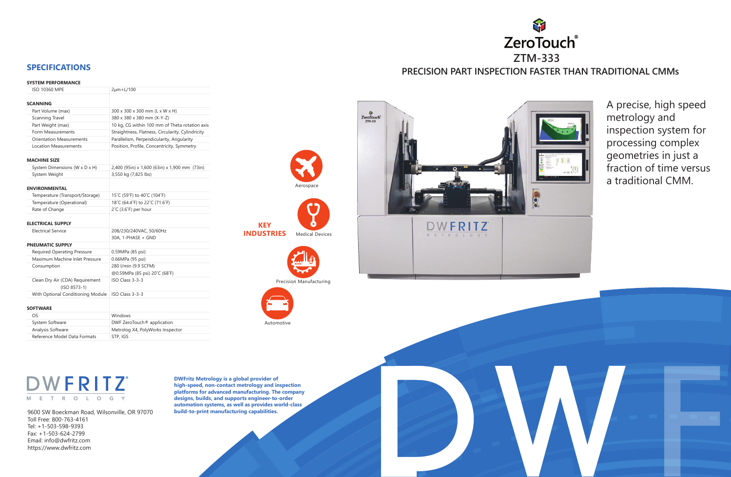A precise, high speed metrology and inspection system for processing complex geometries in just a fraction of time versus a traditional CMM.



9600 SW Boeckman Road, Wilsonville, OR 97070 Toll Free: 800-763-4161 Tel: +1-503-598-9393 Fax: +1-503-624-2799 Email: info@dwfritz.com https://www.dwfritz.com

**DWFritz Metrology is a global provider of high-speed, non-contact metrology and inspection platforms for advanced manufacturing. The company designs, builds, and supports engineer-to-order automation systems, as well as provides world-class build-to-print manufacturing capabilities.**

**KEY**

**INDUSTRIES** Medical Devices

Aerospa

Automotive

Precision Manufacturing

### **SYSTEM PERFORMANCE**



| <b>ISO 10360 MPE</b>                              | 2µm+L/100                                         |
|---------------------------------------------------|---------------------------------------------------|
|                                                   |                                                   |
| <b>SCANNING</b>                                   |                                                   |
| Part Volume (max)                                 | 300 x 300 x 300 mm (L x W x H)                    |
| Scanning Travel                                   | 380 x 380 x 380 mm (X-Y-Z)                        |
| Part Weight (max)                                 | 10 kg, CG within 100 mm of Theta rotation axis    |
| Form Measurements                                 | Straightness, Flatness, Circularity, Cylindricity |
| <b>Orientation Measurements</b>                   | Parallelism, Perpendicularity, Angularity         |
| <b>Location Measurements</b>                      | Position, Profile, Concentricity, Symmetry        |
| <b>MACHINE SIZE</b>                               |                                                   |
| System Dimensions (W x D x H)                     | 2,400 (95in) x 1,600 (63in) x 1,900 mm (73in)     |
| System Weight                                     | 3,550 kg (7,825 lbs)                              |
|                                                   |                                                   |
| <b>ENVIRONMENTAL</b>                              |                                                   |
| Temperature (Transport/Storage)                   | 15°C (59°F) to 40°C (104°F)                       |
| Temperature (Operational)                         | 18°C (64.4°F) to 22°C (71.6°F)                    |
| Rate of Change                                    | $2^{\circ}$ C (3.6 $^{\circ}$ F) per hour         |
| <b>ELECTRICAL SUPPLY</b>                          |                                                   |
| <b>Electrical Service</b>                         | 208/230/240VAC, 50/60Hz                           |
|                                                   | 30A, 1-PHASE + GND                                |
| <b>PNEUMATIC SUPPLY</b>                           |                                                   |
| <b>Required Operating Pressure</b>                | 0.59MPa (85 psi)                                  |
| Maximum Machine Inlet Pressure                    | 0.66MPa (95 psi)                                  |
| Consumption                                       | 280 l/min (9.9 SCFM)                              |
|                                                   | @0.59MPa (85 psi) 20°C (68°F)                     |
| Clean Dry Air (CDA) Requirement<br>$(ISO 8573-1)$ | ISO Class 3-3-3                                   |
| With Optional Conditioning Module                 | ISO Class 3-3-3                                   |
|                                                   |                                                   |
| <b>SOFTWARE</b>                                   |                                                   |
| OS                                                | Windows                                           |
| System Software                                   | DWF ZeroTouch <sup>®</sup> application            |
| Analysis Software                                 | Metrolog X4, PolyWorks Inspector                  |
|                                                   |                                                   |



# **DWFRITZ**  $M$  E T R O L O G Y